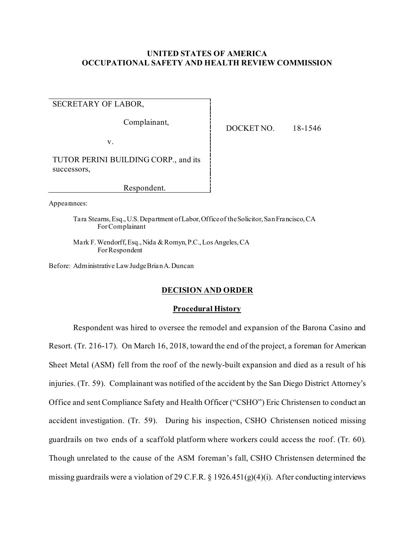# **UNITED STATES OF AMERICA OCCUPATIONAL SAFETY AND HEALTH REVIEW COMMISSION**

SECRETARY OF LABOR,

Complainant,

v.

TUTOR PERINI BUILDING CORP., and its successors,

Respondent.

Appearances:

Tara Stearns, Esq., U.S. Department of Labor, Office of the Solicitor, San Francisco, CA For Complainant

Mark F. Wendorff, Esq., Nida & Romyn, P.C., Los Angeles, CA For Respondent

Before: Administrative Law Judge Brian A. Duncan

# **DECISION AND ORDER**

## **Procedural History**

Respondent was hired to oversee the remodel and expansion of the Barona Casino and Resort. (Tr. 216-17). On March 16, 2018, toward the end of the project, a foreman for American Sheet Metal (ASM) fell from the roof of the newly-built expansion and died as a result of his injuries. (Tr. 59). Complainant was notified of the accident by the San Diego District Attorney's Office and sent Compliance Safety and Health Officer ("CSHO") Eric Christensen to conduct an accident investigation. (Tr. 59). During his inspection, CSHO Christensen noticed missing guardrails on two ends of a scaffold platform where workers could access the roof. (Tr. 60). Though unrelated to the cause of the ASM foreman's fall, CSHO Christensen determined the missing guardrails were a violation of 29 C.F.R. § 1926.451(g)(4)(i). After conducting interviews

DOCKET NO. 18-1546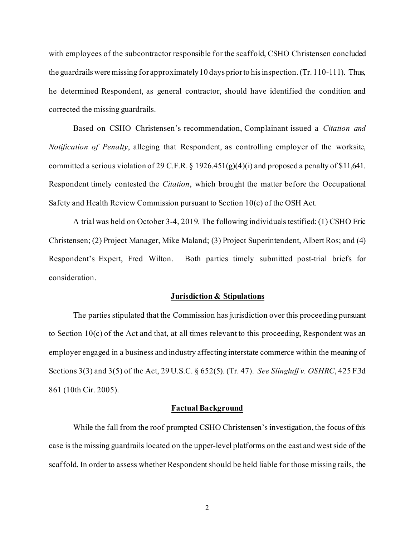with employees of the subcontractor responsible for the scaffold, CSHO Christensen concluded the guardrails were missing for approximately 10 days prior to his inspection. (Tr. 110-111). Thus, he determined Respondent, as general contractor, should have identified the condition and corrected the missing guardrails.

Based on CSHO Christensen's recommendation, Complainant issued a *Citation and Notification of Penalty*, alleging that Respondent, as controlling employer of the worksite, committed a serious violation of 29 C.F.R. § 1926.451(g)(4)(i) and proposed a penalty of \$11,641. Respondent timely contested the *Citation*, which brought the matter before the Occupational Safety and Health Review Commission pursuant to Section 10(c) of the OSH Act.

A trial was held on October 3-4, 2019. The following individuals testified: (1) CSHO Eric Christensen; (2) Project Manager, Mike Maland; (3) Project Superintendent, Albert Ros; and (4) Respondent's Expert, Fred Wilton. Both parties timely submitted post-trial briefs for consideration.

#### **Jurisdiction & Stipulations**

The parties stipulated that the Commission has jurisdiction over this proceeding pursuant to Section 10(c) of the Act and that, at all times relevant to this proceeding, Respondent was an employer engaged in a business and industry affecting interstate commerce within the meaning of Sections 3(3) and 3(5) of the Act, 29 U.S.C. § 652(5). (Tr. 47). *See Slingluff v. OSHRC*, 425 F.3d 861 (10th Cir. 2005).

## **Factual Background**

 While the fall from the roof prompted CSHO Christensen's investigation, the focus of this case is the missing guardrails located on the upper-level platforms on the east and west side of the scaffold. In order to assess whether Respondent should be held liable for those missing rails, the

2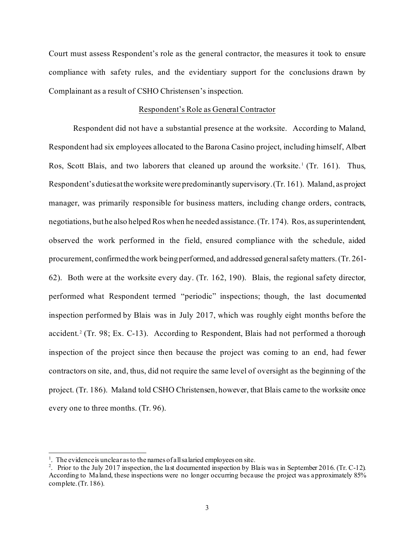Court must assess Respondent's role as the general contractor, the measures it took to ensure compliance with safety rules, and the evidentiary support for the conclusions drawn by Complainant as a result of CSHO Christensen's inspection.

## Respondent's Role as General Contractor

Respondent did not have a substantial presence at the worksite. According to Maland, Respondent had six employees allocated to the Barona Casino project, including himself, Albert Ros, Scott Blais, and two laborers that cleaned up around the worksite.<sup>[1](#page-2-0)</sup> (Tr. 161). Thus, Respondent's duties at the worksite were predominantly supervisory. (Tr. 161). Maland, as project manager, was primarily responsible for business matters, including change orders, contracts, negotiations, but he also helped Ros when he needed assistance. (Tr. 174). Ros, as superintendent, observed the work performed in the field, ensured compliance with the schedule, aided procurement, confirmed the work being performed, and addressed general safety matters. (Tr. 261- 62). Both were at the worksite every day. (Tr. 162, 190). Blais, the regional safety director, performed what Respondent termed "periodic" inspections; though, the last documented inspection performed by Blais was in July 2017, which was roughly eight months before the accident.<sup>[2](#page-2-1)</sup> (Tr. 98; Ex. C-13). According to Respondent, Blais had not performed a thorough inspection of the project since then because the project was coming to an end, had fewer contractors on site, and, thus, did not require the same level of oversight as the beginning of the project. (Tr. 186). Maland told CSHO Christensen, however, that Blais came to the worksite once every one to three months. (Tr. 96).

<sup>&</sup>lt;sup>1</sup>. The evidence is unclear as to the names of all salaried employees on site.

<span id="page-2-1"></span><span id="page-2-0"></span><sup>&</sup>lt;sup>2</sup>. Prior to the July 2017 inspection, the last documented inspection by Blais was in September 2016. (Tr. C-12). According to Maland, these inspections were no longer occurring because the project was approximately 85% complete. (Tr. 186).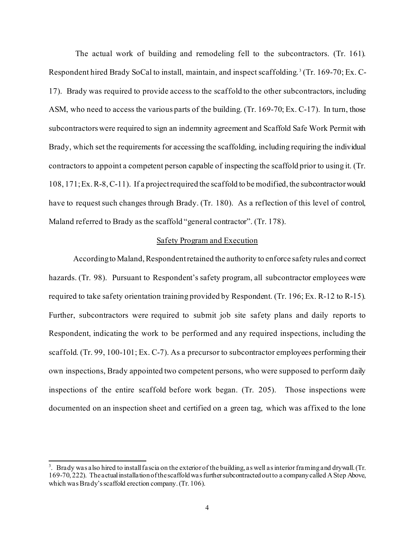The actual work of building and remodeling fell to the subcontractors. (Tr. 161). Respondent hired Brady SoCal to install, maintain, and inspect scaffolding. [3](#page-3-0) (Tr. 169-70; Ex. C-17). Brady was required to provide access to the scaffold to the other subcontractors, including ASM, who need to access the various parts of the building. (Tr. 169-70; Ex. C-17). In turn, those subcontractors were required to sign an indemnity agreement and Scaffold Safe Work Permit with Brady, which set the requirements for accessing the scaffolding, including requiring the individual contractors to appoint a competent person capable of inspecting the scaffold prior to using it. (Tr. 108, 171; Ex. R-8, C-11). If a project required the scaffold to be modified, the subcontractor would have to request such changes through Brady. (Tr. 180). As a reflection of this level of control, Maland referred to Brady as the scaffold "general contractor". (Tr. 178).

# Safety Program and Execution

According to Maland, Respondent retained the authority to enforce safety rules and correct hazards. (Tr. 98). Pursuant to Respondent's safety program, all subcontractor employees were required to take safety orientation training provided by Respondent. (Tr. 196; Ex. R-12 to R-15). Further, subcontractors were required to submit job site safety plans and daily reports to Respondent, indicating the work to be performed and any required inspections, including the scaffold. (Tr. 99, 100-101; Ex. C-7). As a precursor to subcontractor employees performing their own inspections, Brady appointed two competent persons, who were supposed to perform daily inspections of the entire scaffold before work began. (Tr. 205). Those inspections were documented on an inspection sheet and certified on a green tag, which was affixed to the lone

<span id="page-3-0"></span> $3.$  Brady was also hired to install fascia on the exterior of the building, as well as interior framing and drywall. (Tr. 169-70, 222). The actual installation of the scaffold was further subcontracted out to a company called A Step Above, which was Brady's scaffold erection company. (Tr. 106).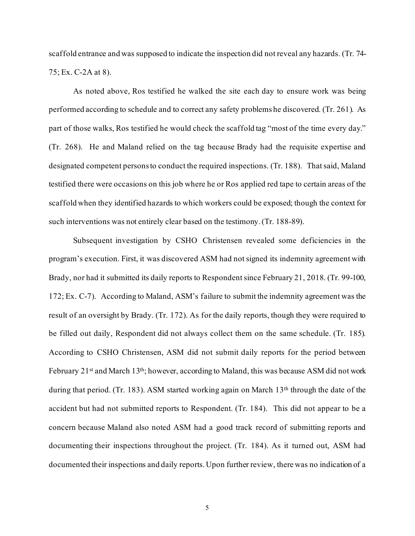scaffold entrance and was supposed to indicate the inspection did not reveal any hazards. (Tr. 74- 75; Ex. C-2A at 8).

As noted above, Ros testified he walked the site each day to ensure work was being performed according to schedule and to correct any safety problems he discovered. (Tr. 261). As part of those walks, Ros testified he would check the scaffold tag "most of the time every day." (Tr. 268). He and Maland relied on the tag because Brady had the requisite expertise and designated competent persons to conduct the required inspections. (Tr. 188). That said, Maland testified there were occasions on this job where he or Ros applied red tape to certain areas of the scaffold when they identified hazards to which workers could be exposed; though the context for such interventions was not entirely clear based on the testimony. (Tr. 188-89).

Subsequent investigation by CSHO Christensen revealed some deficiencies in the program's execution. First, it was discovered ASM had not signed its indemnity agreement with Brady, nor had it submitted its daily reports to Respondent since February 21, 2018. (Tr. 99-100, 172; Ex. C-7). According to Maland, ASM's failure to submit the indemnity agreement was the result of an oversight by Brady. (Tr. 172). As for the daily reports, though they were required to be filled out daily, Respondent did not always collect them on the same schedule. (Tr. 185). According to CSHO Christensen, ASM did not submit daily reports for the period between February 21<sup>st</sup> and March 13<sup>th</sup>; however, according to Maland, this was because ASM did not work during that period. (Tr. 183). ASM started working again on March 13<sup>th</sup> through the date of the accident but had not submitted reports to Respondent. (Tr. 184). This did not appear to be a concern because Maland also noted ASM had a good track record of submitting reports and documenting their inspections throughout the project. (Tr. 184). As it turned out, ASM had documented their inspections and daily reports. Upon further review, there was no indication of a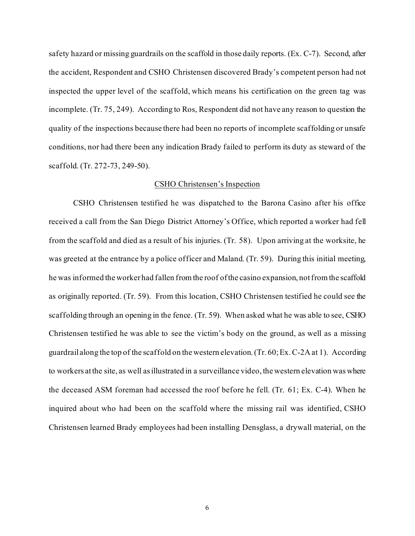safety hazard or missing guardrails on the scaffold in those daily reports. (Ex. C-7). Second, after the accident, Respondent and CSHO Christensen discovered Brady's competent person had not inspected the upper level of the scaffold, which means his certification on the green tag was incomplete. (Tr. 75, 249). According to Ros, Respondent did not have any reason to question the quality of the inspections because there had been no reports of incomplete scaffolding or unsafe conditions, nor had there been any indication Brady failed to perform its duty as steward of the scaffold. (Tr. 272-73, 249-50).

## CSHO Christensen's Inspection

CSHO Christensen testified he was dispatched to the Barona Casino after his office received a call from the San Diego District Attorney's Office, which reported a worker had fell from the scaffold and died as a result of his injuries. (Tr. 58). Upon arriving at the worksite, he was greeted at the entrance by a police officer and Maland. (Tr. 59). During this initial meeting, he was informed the worker had fallen from the roof of the casino expansion, notfrom the scaffold as originally reported. (Tr. 59). From this location, CSHO Christensen testified he could see the scaffolding through an opening in the fence. (Tr. 59). When asked what he was able to see, CSHO Christensen testified he was able to see the victim's body on the ground, as well as a missing guardrail along the top of the scaffold on the western elevation. (Tr. 60; Ex. C-2A at 1). According to workers at the site, as well as illustrated in a surveillance video, the western elevation was where the deceased ASM foreman had accessed the roof before he fell. (Tr. 61; Ex. C-4). When he inquired about who had been on the scaffold where the missing rail was identified, CSHO Christensen learned Brady employees had been installing Densglass, a drywall material, on the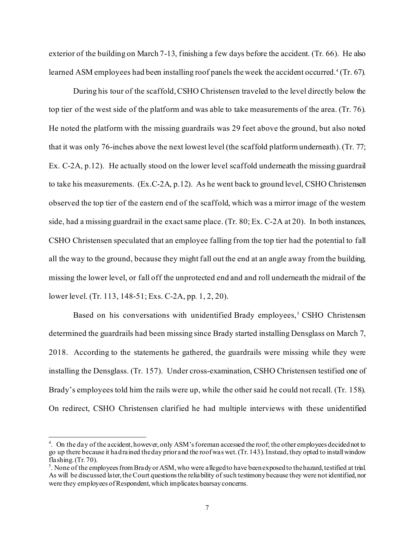exterior of the building on March 7-13, finishing a few days before the accident. (Tr. 66). He also learned ASM employees had been installing roof panels the week the accident occurred.<sup>[4](#page-6-0)</sup> (Tr. 67).

During his tour of the scaffold, CSHO Christensen traveled to the level directly below the top tier of the west side of the platform and was able to take measurements of the area. (Tr. 76). He noted the platform with the missing guardrails was 29 feet above the ground, but also noted that it was only 76-inches above the next lowest level (the scaffold platform underneath). (Tr. 77; Ex. C-2A, p.12). He actually stood on the lower level scaffold underneath the missing guardrail to take his measurements. (Ex.C-2A, p.12). As he went back to ground level, CSHO Christensen observed the top tier of the eastern end of the scaffold, which was a mirror image of the western side, had a missing guardrail in the exact same place. (Tr. 80; Ex. C-2A at 20). In both instances, CSHO Christensen speculated that an employee falling from the top tier had the potential to fall all the way to the ground, because they might fall out the end at an angle away from the building, missing the lower level, or fall off the unprotected end and and roll underneath the midrail of the lower level. (Tr. 113, 148-51; Exs. C-2A, pp. 1, 2, 20).

Based on his conversations with unidentified Brady employees,<sup> $5$ </sup> CSHO Christensen determined the guardrails had been missing since Brady started installing Densglass on March 7, 2018. According to the statements he gathered, the guardrails were missing while they were installing the Densglass. (Tr. 157). Under cross-examination, CSHO Christensen testified one of Brady's employees told him the rails were up, while the other said he could not recall. (Tr. 158). On redirect, CSHO Christensen clarified he had multiple interviews with these unidentified

<span id="page-6-0"></span><sup>&</sup>lt;sup>4</sup>. On the day of the accident, however, only ASM's foreman accessed the roof; the other employees decided not to go up there because it had rained the day prior and the roof was wet. (Tr. 143). Instead, they opted to install window flashing.  $(Tr. 70)$ .

<span id="page-6-1"></span><sup>&</sup>lt;sup>5</sup>. None of the employees from Brady or ASM, who were a lleged to have been exposed to the hazard, testified at trial. As will be discussed later, the Court questions the reliability of such testimony because they were not identified, nor were they employees of Respondent, which implicates hearsay concerns.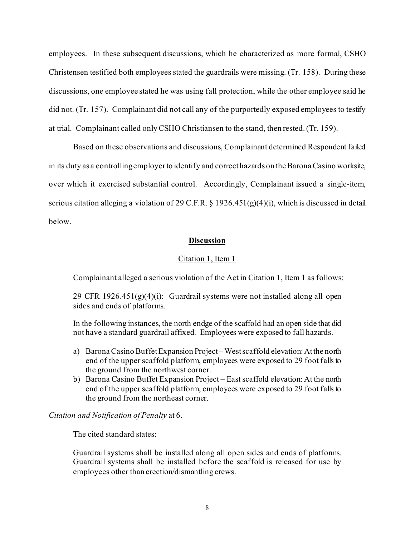employees. In these subsequent discussions, which he characterized as more formal, CSHO Christensen testified both employees stated the guardrails were missing. (Tr. 158). During these discussions, one employee stated he was using fall protection, while the other employee said he did not. (Tr. 157). Complainant did not call any of the purportedly exposed employees to testify at trial. Complainant called only CSHO Christiansen to the stand, then rested. (Tr. 159).

Based on these observations and discussions, Complainant determined Respondent failed in its duty as a controlling employer to identify and correct hazards on the Barona Casino worksite, over which it exercised substantial control. Accordingly, Complainant issued a single-item, serious citation alleging a violation of 29 C.F.R. § 1926.451(g)(4)(i), which is discussed in detail below.

# **Discussion**

# Citation 1, Item 1

Complainant alleged a serious violation of the Act in Citation 1, Item 1 as follows:

29 CFR 1926.451 $(g)(4)(i)$ : Guardrail systems were not installed along all open sides and ends of platforms.

In the following instances, the north endge of the scaffold had an open side that did not have a standard guardrail affixed. Employees were exposed to fall hazards.

- a) Barona Casino Buffet Expansion Project West scaffold elevation: At the north end of the upper scaffold platform, employees were exposed to 29 foot falls to the ground from the northwest corner.
- b) Barona Casino Buffet Expansion Project East scaffold elevation: At the north end of the upper scaffold platform, employees were exposed to 29 foot falls to the ground from the northeast corner.

*Citation and Notification of Penalty* at 6.

The cited standard states:

Guardrail systems shall be installed along all open sides and ends of platforms. Guardrail systems shall be installed before the scaffold is released for use by employees other than erection/dismantling crews.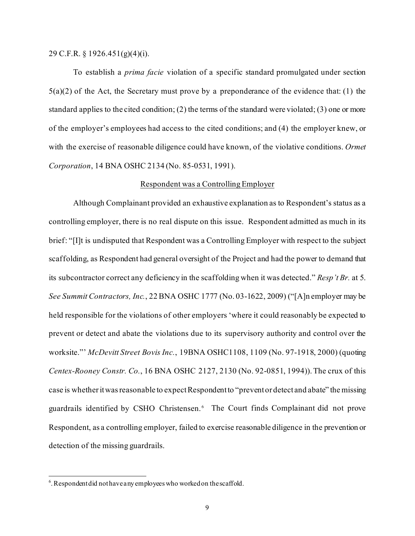29 C.F.R. § 1926.451(g)(4)(i).

To establish a *prima facie* violation of a specific standard promulgated under section  $5(a)(2)$  of the Act, the Secretary must prove by a preponderance of the evidence that: (1) the standard applies to the cited condition; (2) the terms of the standard were violated; (3) one or more of the employer's employees had access to the cited conditions; and (4) the employer knew, or with the exercise of reasonable diligence could have known, of the violative conditions. *Ormet Corporation*, 14 BNA OSHC 2134 (No. 85-0531, 1991).

# Respondent was a Controlling Employer

Although Complainant provided an exhaustive explanation as to Respondent's status as a controlling employer, there is no real dispute on this issue. Respondent admitted as much in its brief: "[I]t is undisputed that Respondent was a Controlling Employer with respect to the subject scaffolding, as Respondent had general oversight of the Project and had the power to demand that its subcontractor correct any deficiency in the scaffolding when it was detected." *Resp't Br.* at 5. *See Summit Contractors, Inc.*, 22 BNA OSHC 1777 (No. 03-1622, 2009) ("[A]n employer may be held responsible for the violations of other employers 'where it could reasonably be expected to prevent or detect and abate the violations due to its supervisory authority and control over the worksite."' *McDevitt Street Bovis Inc.*, 19BNA OSHC1108, 1109 (No. 97-1918, 2000) (quoting *Centex-Rooney Constr. Co.*, 16 BNA OSHC 2127, 2130 (No. 92-0851, 1994)). The crux of this case is whether it was reasonable to expect Respondent to "prevent or detect and abate" themissing guardrails identified by CSHO Christensen.<sup>[6](#page-8-0)</sup> The Court finds Complainant did not prove Respondent, as a controlling employer, failed to exercise reasonable diligence in the prevention or detection of the missing guardrails.

<span id="page-8-0"></span> $6$ . Respondent did not have any employees who worked on the scaffold.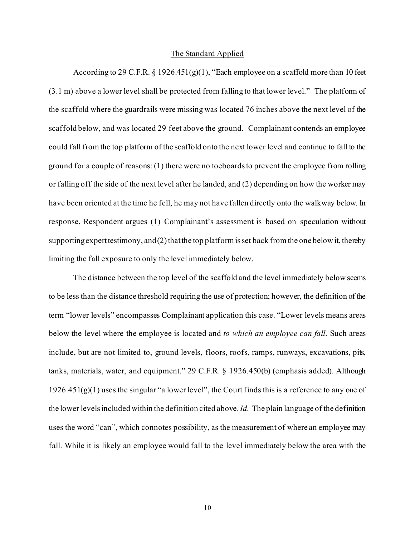## The Standard Applied

According to 29 C.F.R.  $\S 1926.451(g)(1)$ , "Each employee on a scaffold more than 10 feet (3.1 m) above a lower level shall be protected from falling to that lower level." The platform of the scaffold where the guardrails were missing was located 76 inches above the next level of the scaffold below, and was located 29 feet above the ground. Complainant contends an employee could fall from the top platform of the scaffold onto the next lower level and continue to fall to the ground for a couple of reasons: (1) there were no toeboards to prevent the employee from rolling or falling off the side of the next level after he landed, and (2) depending on how the worker may have been oriented at the time he fell, he may not have fallen directly onto the walkway below. In response, Respondent argues (1) Complainant's assessment is based on speculation without supporting expert testimony, and  $(2)$  that the top platform is set back from the one below it, thereby limiting the fall exposure to only the level immediately below.

The distance between the top level of the scaffold and the level immediately below seems to be less than the distance threshold requiring the use of protection; however, the definition of the term "lower levels" encompasses Complainant application this case. "Lower levels means areas below the level where the employee is located and *to which an employee can fall*. Such areas include, but are not limited to, ground levels, floors, roofs, ramps, runways, excavations, pits, tanks, materials, water, and equipment." 29 C.F.R. § 1926.450(b) (emphasis added). Although  $1926.451(g)(1)$  uses the singular "a lower level", the Court finds this is a reference to any one of the lower levels included within the definition cited above. *Id.* The plain language of the definition uses the word "can", which connotes possibility, as the measurement of where an employee may fall. While it is likely an employee would fall to the level immediately below the area with the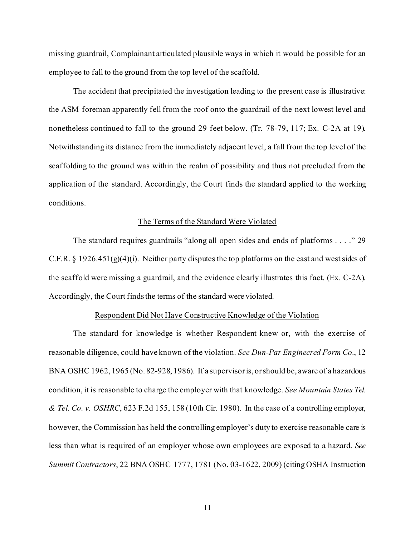missing guardrail, Complainant articulated plausible ways in which it would be possible for an employee to fall to the ground from the top level of the scaffold.

The accident that precipitated the investigation leading to the present case is illustrative: the ASM foreman apparently fell from the roof onto the guardrail of the next lowest level and nonetheless continued to fall to the ground 29 feet below. (Tr. 78-79, 117; Ex. C-2A at 19). Notwithstanding its distance from the immediately adjacent level, a fall from the top level of the scaffolding to the ground was within the realm of possibility and thus not precluded from the application of the standard. Accordingly, the Court finds the standard applied to the working conditions.

## The Terms of the Standard Were Violated

The standard requires guardrails "along all open sides and ends of platforms . . . ." 29 C.F.R. § 1926.451(g)(4)(i). Neither party disputes the top platforms on the east and west sides of the scaffold were missing a guardrail, and the evidence clearly illustrates this fact. (Ex. C-2A). Accordingly, the Court finds the terms of the standard were violated.

## Respondent Did Not Have Constructive Knowledge of the Violation

The standard for knowledge is whether Respondent knew or, with the exercise of reasonable diligence, could have known of the violation. *See Dun-Par Engineered Form Co.*, 12 BNA OSHC 1962, 1965 (No. 82-928, 1986). If a supervisor is, or should be, aware of a hazardous condition, it is reasonable to charge the employer with that knowledge. *See Mountain States Tel. & Tel. Co. v. OSHRC*, 623 F.2d 155, 158 (10th Cir. 1980). In the case of a controlling employer, however, the Commission has held the controlling employer's duty to exercise reasonable care is less than what is required of an employer whose own employees are exposed to a hazard. *See Summit Contractors*, 22 BNA OSHC 1777, 1781 (No. 03-1622, 2009) (citing OSHA Instruction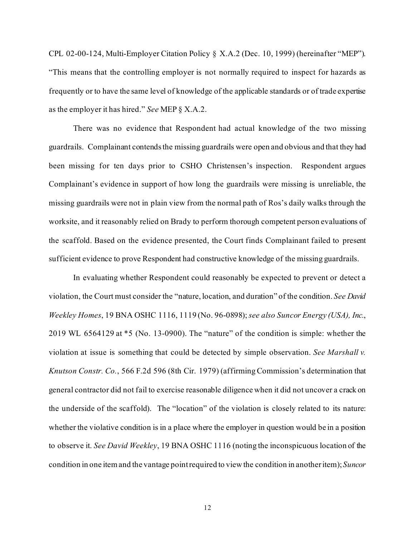CPL 02-00-124, Multi-Employer Citation Policy § X.A.2 (Dec. 10, 1999) (hereinafter "MEP"). "This means that the controlling employer is not normally required to inspect for hazards as frequently or to have the same level of knowledge of the applicable standards or of trade expertise as the employer it has hired." *See* MEP § X.A.2.

There was no evidence that Respondent had actual knowledge of the two missing guardrails. Complainant contends the missing guardrails were open and obvious and that they had been missing for ten days prior to CSHO Christensen's inspection. Respondent argues Complainant's evidence in support of how long the guardrails were missing is unreliable, the missing guardrails were not in plain view from the normal path of Ros's daily walks through the worksite, and it reasonably relied on Brady to perform thorough competent person evaluations of the scaffold. Based on the evidence presented, the Court finds Complainant failed to present sufficient evidence to prove Respondent had constructive knowledge of the missing guardrails.

In evaluating whether Respondent could reasonably be expected to prevent or detect a violation, the Court must consider the "nature, location, and duration" of the condition. *See David Weekley Homes*, 19 BNA OSHC 1116, 1119 (No. 96-0898); *see also Suncor Energy (USA), Inc.*, 2019 WL 6564129 at \*5 (No. 13-0900). The "nature" of the condition is simple: whether the violation at issue is something that could be detected by simple observation. *See Marshall v. Knutson Constr. Co.*, 566 F.2d 596 (8th Cir. 1979) (affirming Commission's determination that general contractor did not fail to exercise reasonable diligence when it did not uncover a crack on the underside of the scaffold). The "location" of the violation is closely related to its nature: whether the violative condition is in a place where the employer in question would be in a position to observe it. *See David Weekley*, 19 BNA OSHC 1116 (noting the inconspicuous location of the condition in one item and the vantage point required to view the condition in another item); *Suncor*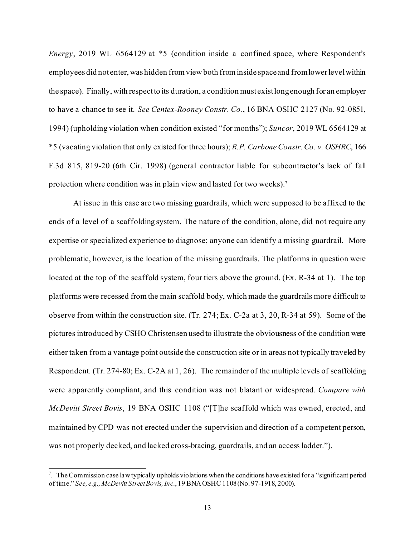*Energy*, 2019 WL 6564129 at \*5 (condition inside a confined space, where Respondent's employees did not enter, was hidden from view both from inside space and from lower level within the space). Finally, with respect to its duration, a condition must exist long enough for an employer to have a chance to see it. *See Centex-Rooney Constr. Co.*, 16 BNA OSHC 2127 (No. 92-0851, 1994) (upholding violation when condition existed "for months"); *Suncor*, 2019 WL 6564129 at \*5 (vacating violation that only existed for three hours); *R.P. Carbone Constr. Co. v. OSHRC*, 166 F.3d 815, 819-20 (6th Cir. 1998) (general contractor liable for subcontractor's lack of fall protection where condition was in plain view and lasted for two weeks). [7](#page-12-0)

At issue in this case are two missing guardrails, which were supposed to be affixed to the ends of a level of a scaffolding system. The nature of the condition, alone, did not require any expertise or specialized experience to diagnose; anyone can identify a missing guardrail. More problematic, however, is the location of the missing guardrails. The platforms in question were located at the top of the scaffold system, four tiers above the ground. (Ex. R-34 at 1). The top platforms were recessed from the main scaffold body, which made the guardrails more difficult to observe from within the construction site. (Tr. 274; Ex. C-2a at 3, 20, R-34 at 59). Some of the pictures introduced by CSHO Christensen used to illustrate the obviousness of the condition were either taken from a vantage point outside the construction site or in areas not typically traveled by Respondent. (Tr. 274-80; Ex. C-2A at 1, 26). The remainder of the multiple levels of scaffolding were apparently compliant, and this condition was not blatant or widespread. *Compare with McDevitt Street Bovis*, 19 BNA OSHC 1108 ("[T]he scaffold which was owned, erected, and maintained by CPD was not erected under the supervision and direction of a competent person, was not properly decked, and lacked cross-bracing, guardrails, and an access ladder.").

<span id="page-12-0"></span> $^7$ . The Commission case law typically upholds violations when the conditions have existed for a "significant period of time." *See, e.g., McDevitt Street Bovis, Inc.*, 19 BNA OSHC 1108 (No. 97-1918, 2000).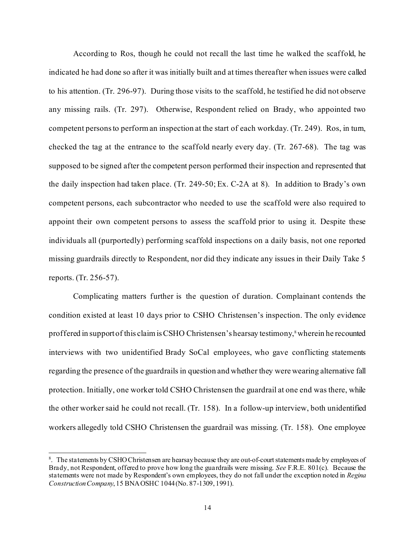According to Ros, though he could not recall the last time he walked the scaffold, he indicated he had done so after it was initially built and at times thereafter when issues were called to his attention. (Tr. 296-97). During those visits to the scaffold, he testified he did not observe any missing rails. (Tr. 297). Otherwise, Respondent relied on Brady, who appointed two competent persons to perform an inspection at the start of each workday. (Tr. 249). Ros, in turn, checked the tag at the entrance to the scaffold nearly every day. (Tr. 267-68). The tag was supposed to be signed after the competent person performed their inspection and represented that the daily inspection had taken place. (Tr. 249-50; Ex. C-2A at 8). In addition to Brady's own competent persons, each subcontractor who needed to use the scaffold were also required to appoint their own competent persons to assess the scaffold prior to using it. Despite these individuals all (purportedly) performing scaffold inspections on a daily basis, not one reported missing guardrails directly to Respondent, nor did they indicate any issues in their Daily Take 5 reports. (Tr. 256-57).

Complicating matters further is the question of duration. Complainant contends the condition existed at least 10 days prior to CSHO Christensen's inspection. The only evidence proffered in support of this claim is CSHO Christensen's hearsay testimony,<sup>8</sup> wherein he recounted interviews with two unidentified Brady SoCal employees, who gave conflicting statements regarding the presence of the guardrails in question and whether they were wearing alternative fall protection. Initially, one worker told CSHO Christensen the guardrail at one end was there, while the other worker said he could not recall. (Tr. 158). In a follow-up interview, both unidentified workers allegedly told CSHO Christensen the guardrail was missing. (Tr. 158). One employee

<span id="page-13-0"></span><sup>&</sup>lt;sup>8</sup>. The statements by CSHO Christensen are hearsay because they are out-of-court statements made by employees of Brady, not Respondent, offered to prove how long the guardrails were missing. *See* F.R.E. 801(c). Because the statements were not made by Respondent's own employees, they do not fall under the exception noted in *Regina Construction Company*, 15 BNA OSHC 1044 (No. 87-1309, 1991).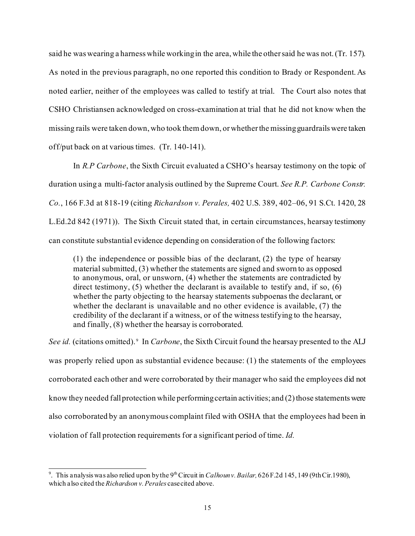said he was wearing a harness while working in the area, while the other said he was not. (Tr. 157). As noted in the previous paragraph, no one reported this condition to Brady or Respondent. As noted earlier, neither of the employees was called to testify at trial. The Court also notes that CSHO Christiansen acknowledged on cross-examination at trial that he did not know when the missing rails were taken down, who took them down, or whether the missing guardrails were taken off/put back on at various times. (Tr. 140-141).

In *R.P Carbone*, the Sixth Circuit evaluated a CSHO's hearsay testimony on the topic of duration using a multi-factor analysis outlined by the Supreme Court. *See R.P. Carbone Constr. Co.*, 166 F.3d at 818-19 (citing *Richardson v. Perales,* [402 U.S. 389, 402–06, 91 S.Ct. 1420, 28](http://www.westlaw.com/Link/Document/FullText?findType=Y&serNum=1971127062&pubNum=0000708&originatingDoc=Ibc7b8ae7948311d9a707f4371c9c34f0&refType=RP&originationContext=document&vr=3.0&rs=cblt1.0&transitionType=DocumentItem&contextData=(sc.UserEnteredCitation))  [L.Ed.2d 842 \(1971\)\)](http://www.westlaw.com/Link/Document/FullText?findType=Y&serNum=1971127062&pubNum=0000708&originatingDoc=Ibc7b8ae7948311d9a707f4371c9c34f0&refType=RP&originationContext=document&vr=3.0&rs=cblt1.0&transitionType=DocumentItem&contextData=(sc.UserEnteredCitation)). The Sixth Circuit stated that, in certain circumstances, hearsay testimony can constitute substantial evidence depending on consideration of the following factors:

(1) the independence or possible bias of the declarant, (2) the type of hearsay material submitted, (3) whether the statements are signed and sworn to as opposed to anonymous, oral, or unsworn, (4) whether the statements are contradicted by direct testimony, (5) whether the declarant is available to testify and, if so, (6) whether the party objecting to the hearsay statements subpoenas the declarant, or whether the declarant is unavailable and no other evidence is available, (7) the credibility of the declarant if a witness, or of the witness testifying to the hearsay, and finally, (8) whether the hearsay is corroborated.

See id. (citations omitted).<sup>[9](#page-14-0)</sup> In *Carbone*, the Sixth Circuit found the hearsay presented to the ALJ was properly relied upon as substantial evidence because: (1) the statements of the employees corroborated each other and were corroborated by their manager who said the employees did not know they needed fall protection while performing certain activities; and (2) those statements were also corroborated by an anonymous complaint filed with OSHA that the employees had been in violation of fall protection requirements for a significant period of time. *Id.*

<span id="page-14-0"></span><sup>&</sup>lt;sup>9</sup>. This analysis was also relied upon by the 9<sup>th</sup> Circuit in *Calhoun v. Bailar*, 626F.2d 145, 149 (9th Cir.1980), which also cited the *Richardson v. Perales* case cited above.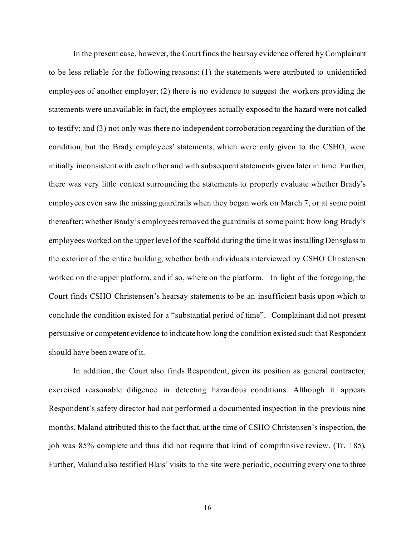In the present case, however, the Court finds the hearsay evidence offered by Complainant to be less reliable for the following reasons: (1) the statements were attributed to unidentified employees of another employer; (2) there is no evidence to suggest the workers providing the statements were unavailable; in fact, the employees actually exposed to the hazard were not called to testify; and (3) not only was there no independent corroboration regarding the duration of the condition, but the Brady employees' statements, which were only given to the CSHO, were initially inconsistent with each other and with subsequent statements given later in time. Further, there was very little context surrounding the statements to properly evaluate whether Brady's employees even saw the missing guardrails when they began work on March 7, or at some point thereafter; whether Brady's employees removed the guardrails at some point; how long Brady's employees worked on the upper level of the scaffold during the time it was installing Densglass to the exterior of the entire building; whether both individuals interviewed by CSHO Christensen worked on the upper platform, and if so, where on the platform. In light of the foregoing, the Court finds CSHO Christensen's hearsay statements to be an insufficient basis upon which to conclude the condition existed for a "substantial period of time". Complainant did not present persuasive or competent evidence to indicate how long the condition existed such that Respondent should have been aware of it.

In addition, the Court also finds Respondent, given its position as general contractor, exercised reasonable diligence in detecting hazardous conditions. Although it appears Respondent's safety director had not performed a documented inspection in the previous nine months, Maland attributed this to the fact that, at the time of CSHO Christensen's inspection, the job was 85% complete and thus did not require that kind of comprhnsive review. (Tr. 185). Further, Maland also testified Blais' visits to the site were periodic, occurring every one to three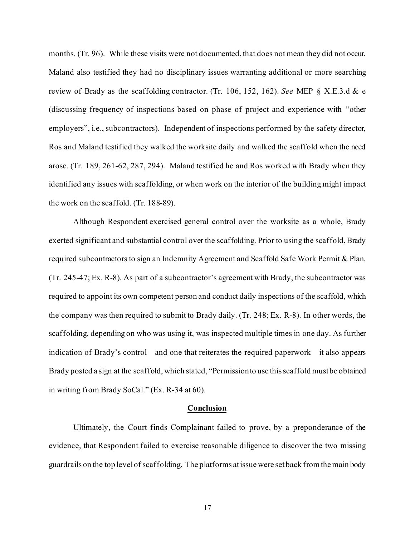months. (Tr. 96). While these visits were not documented, that does not mean they did not occur. Maland also testified they had no disciplinary issues warranting additional or more searching review of Brady as the scaffolding contractor. (Tr. 106, 152, 162). *See* MEP § X.E.3.d & e (discussing frequency of inspections based on phase of project and experience with "other employers", i.e., subcontractors). Independent of inspections performed by the safety director, Ros and Maland testified they walked the worksite daily and walked the scaffold when the need arose. (Tr. 189, 261-62, 287, 294). Maland testified he and Ros worked with Brady when they identified any issues with scaffolding, or when work on the interior of the building might impact the work on the scaffold. (Tr. 188-89).

Although Respondent exercised general control over the worksite as a whole, Brady exerted significant and substantial control over the scaffolding. Prior to using the scaffold, Brady required subcontractors to sign an Indemnity Agreement and Scaffold Safe Work Permit & Plan. (Tr. 245-47; Ex. R-8). As part of a subcontractor's agreement with Brady, the subcontractor was required to appoint its own competent person and conduct daily inspections of the scaffold, which the company was then required to submit to Brady daily. (Tr. 248; Ex. R-8). In other words, the scaffolding, depending on who was using it, was inspected multiple times in one day. As further indication of Brady's control—and one that reiterates the required paperwork—it also appears Brady posted a sign at the scaffold, which stated, "Permission to use this scaffold must be obtained in writing from Brady SoCal." (Ex. R-34 at 60).

## **Conclusion**

Ultimately, the Court finds Complainant failed to prove, by a preponderance of the evidence, that Respondent failed to exercise reasonable diligence to discover the two missing guardrails on the top level of scaffolding. The platforms at issue were set back from the main body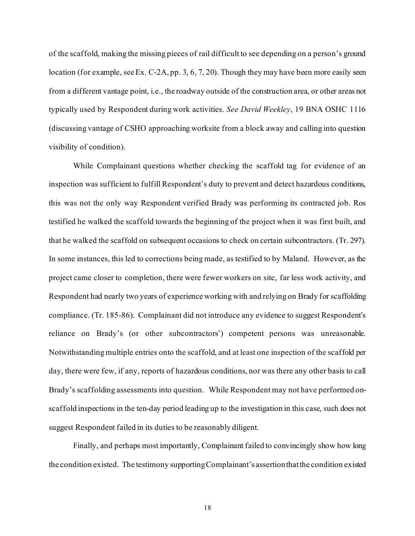of the scaffold, making the missing pieces of rail difficult to see depending on a person's ground location (for example, see Ex. C-2A, pp. 3, 6, 7, 20). Though they may have been more easily seen from a different vantage point, i.e., the roadway outside of the construction area, or other areas not typically used by Respondent during work activities. *See David Weekley*, 19 BNA OSHC 1116 (discussing vantage of CSHO approaching worksite from a block away and calling into question visibility of condition).

While Complainant questions whether checking the scaffold tag for evidence of an inspection was sufficient to fulfill Respondent's duty to prevent and detect hazardous conditions, this was not the only way Respondent verified Brady was performing its contracted job. Ros testified he walked the scaffold towards the beginning of the project when it was first built, and that he walked the scaffold on subsequent occasions to check on certain subcontractors. (Tr. 297). In some instances, this led to corrections being made, as testified to by Maland. However, as the project came closer to completion, there were fewer workers on site, far less work activity, and Respondent had nearly two years of experience working with and relying on Brady for scaffolding compliance. (Tr. 185-86). Complainant did not introduce any evidence to suggest Respondent's reliance on Brady's (or other subcontractors') competent persons was unreasonable. Notwithstanding multiple entries onto the scaffold, and at least one inspection of the scaffold per day, there were few, if any, reports of hazardous conditions, nor was there any other basis to call Brady's scaffolding assessments into question. While Respondent may not have performed onscaffold inspections in the ten-day period leading up to the investigation in this case, such does not suggest Respondent failed in its duties to be reasonably diligent.

Finally, and perhaps most importantly, Complainant failed to convincingly show how long the condition existed. The testimony supporting Complainant's assertion that the condition existed